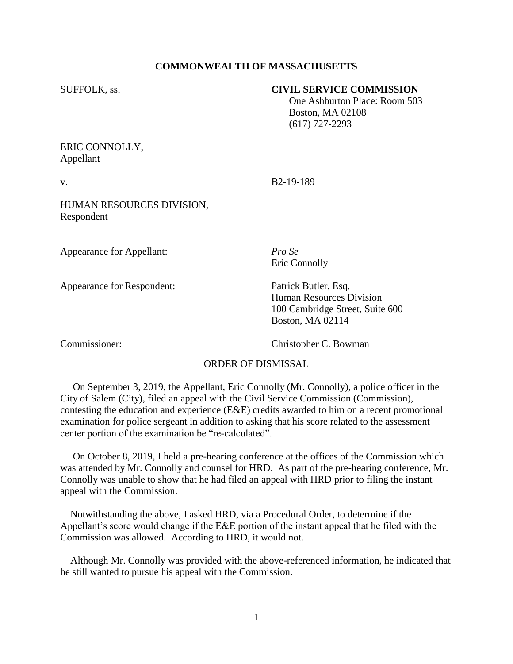## **COMMONWEALTH OF MASSACHUSETTS**

## SUFFOLK, ss. **CIVIL SERVICE COMMISSION**

 One Ashburton Place: Room 503 Boston, MA 02108 (617) 727-2293

ERIC CONNOLLY, Appellant

v. B2-19-189

HUMAN RESOURCES DIVISION, Respondent

Appearance for Appellant: *Pro Se*

Appearance for Respondent: Patrick Butler, Esq.

Eric Connolly

Human Resources Division 100 Cambridge Street, Suite 600 Boston, MA 02114

Commissioner: Christopher C. Bowman

## ORDER OF DISMISSAL

 On September 3, 2019, the Appellant, Eric Connolly (Mr. Connolly), a police officer in the City of Salem (City), filed an appeal with the Civil Service Commission (Commission), contesting the education and experience (E&E) credits awarded to him on a recent promotional examination for police sergeant in addition to asking that his score related to the assessment center portion of the examination be "re-calculated".

 On October 8, 2019, I held a pre-hearing conference at the offices of the Commission which was attended by Mr. Connolly and counsel for HRD. As part of the pre-hearing conference, Mr. Connolly was unable to show that he had filed an appeal with HRD prior to filing the instant appeal with the Commission.

 Notwithstanding the above, I asked HRD, via a Procedural Order, to determine if the Appellant's score would change if the E&E portion of the instant appeal that he filed with the Commission was allowed. According to HRD, it would not.

 Although Mr. Connolly was provided with the above-referenced information, he indicated that he still wanted to pursue his appeal with the Commission.